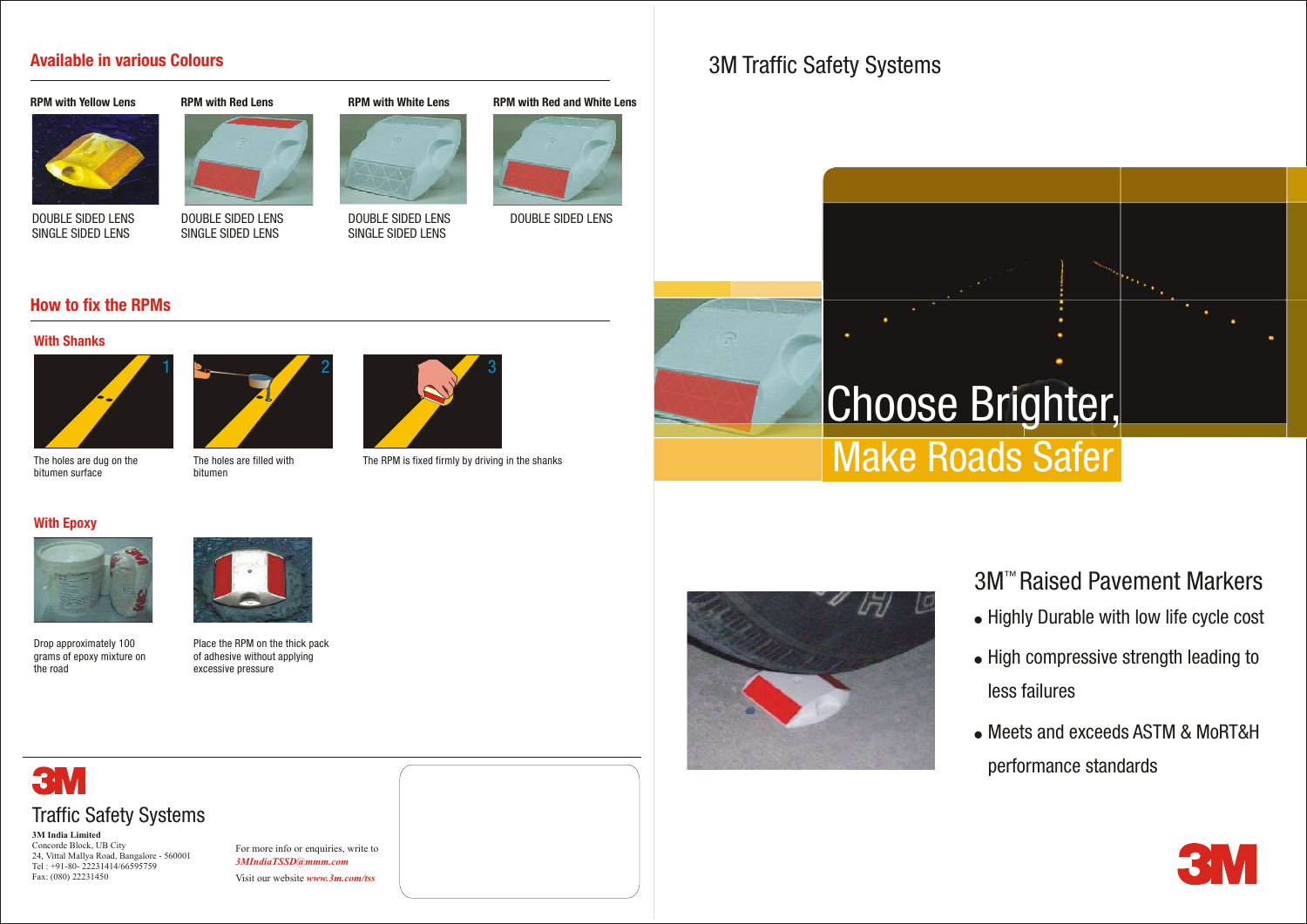## 3M Traffic Safety Systems

**3M India Limited** Concorde Block, UB City 24, Vittal Mallya Road, Bangalore - 560001 Tel : +91-80- 22231414/66595759 Fax: (080) 22231450

- Highly Durable with low life cycle cost 3M<sup>™</sup> Raised Pavement Markers
- . High compressive strength leading to less failures
- Meets and exceeds ASTM & MoRT&H performance standards



For more info or enquiries, write to *3MIndiaTSSD@mmm.com*

Visit our website *www.3m.com/tss*

## **Available in various Colours**

#### **RPM with Yellow Lens**



DOUBLE SIDED LENS SINGLE SIDED LENS



**RPM with White Lens**



DOUBLE SIDED LENS SINGLE SIDED LENS



DOUBLE SIDED LENS SINGLE SIDED LENS



DOUBLE SIDED LENS

## **How to fix the RPMs**



The holes are dug on the bitumen surface



The holes are filled with bitumen



The RPM is fixed firmly by driving in the shanks

### **With Epoxy**



Drop approximately 100 grams of epoxy mixture on the road



Place the RPM on the thick pack





of adhesive without applying excessive pressure

#### **With Shanks**